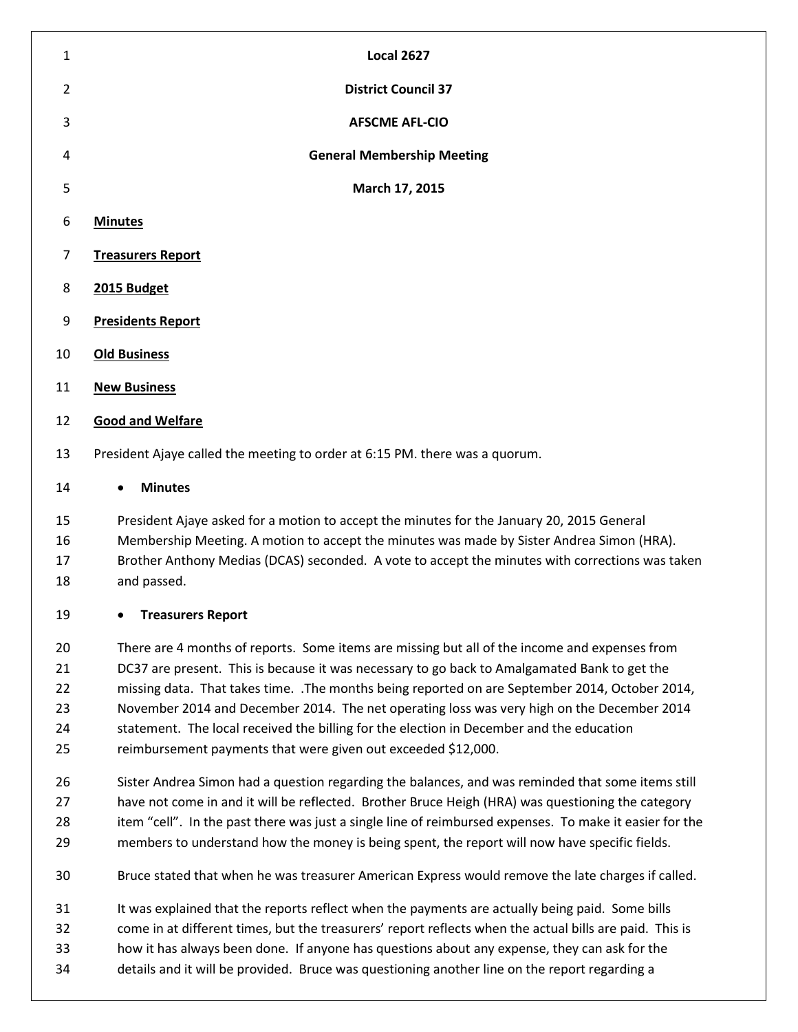| $\mathbf{1}$   | <b>Local 2627</b>                                                           |  |  |  |
|----------------|-----------------------------------------------------------------------------|--|--|--|
| $\overline{2}$ | <b>District Council 37</b>                                                  |  |  |  |
| 3              | <b>AFSCME AFL-CIO</b>                                                       |  |  |  |
| 4              | <b>General Membership Meeting</b>                                           |  |  |  |
| 5              | March 17, 2015                                                              |  |  |  |
| 6              | <b>Minutes</b>                                                              |  |  |  |
| $\overline{7}$ | <b>Treasurers Report</b>                                                    |  |  |  |
| 8              | 2015 Budget                                                                 |  |  |  |
| 9              | <b>Presidents Report</b>                                                    |  |  |  |
| 10             | <b>Old Business</b>                                                         |  |  |  |
| 11             | <b>New Business</b>                                                         |  |  |  |
| 12             | <b>Good and Welfare</b>                                                     |  |  |  |
| 13             | President Ajaye called the meeting to order at 6:15 PM. there was a quorum. |  |  |  |
| 14             | <b>Minutes</b><br>$\bullet$                                                 |  |  |  |

 President Ajaye asked for a motion to accept the minutes for the January 20, 2015 General Membership Meeting. A motion to accept the minutes was made by Sister Andrea Simon (HRA). Brother Anthony Medias (DCAS) seconded. A vote to accept the minutes with corrections was taken and passed.

## **Treasurers Report**

 There are 4 months of reports. Some items are missing but all of the income and expenses from DC37 are present. This is because it was necessary to go back to Amalgamated Bank to get the missing data. That takes time. .The months being reported on are September 2014, October 2014, November 2014 and December 2014. The net operating loss was very high on the December 2014 statement. The local received the billing for the election in December and the education reimbursement payments that were given out exceeded \$12,000.

 Sister Andrea Simon had a question regarding the balances, and was reminded that some items still have not come in and it will be reflected. Brother Bruce Heigh (HRA) was questioning the category 28 item "cell". In the past there was just a single line of reimbursed expenses. To make it easier for the members to understand how the money is being spent, the report will now have specific fields.

Bruce stated that when he was treasurer American Express would remove the late charges if called.

It was explained that the reports reflect when the payments are actually being paid. Some bills

come in at different times, but the treasurers' report reflects when the actual bills are paid. This is

- how it has always been done. If anyone has questions about any expense, they can ask for the
- details and it will be provided. Bruce was questioning another line on the report regarding a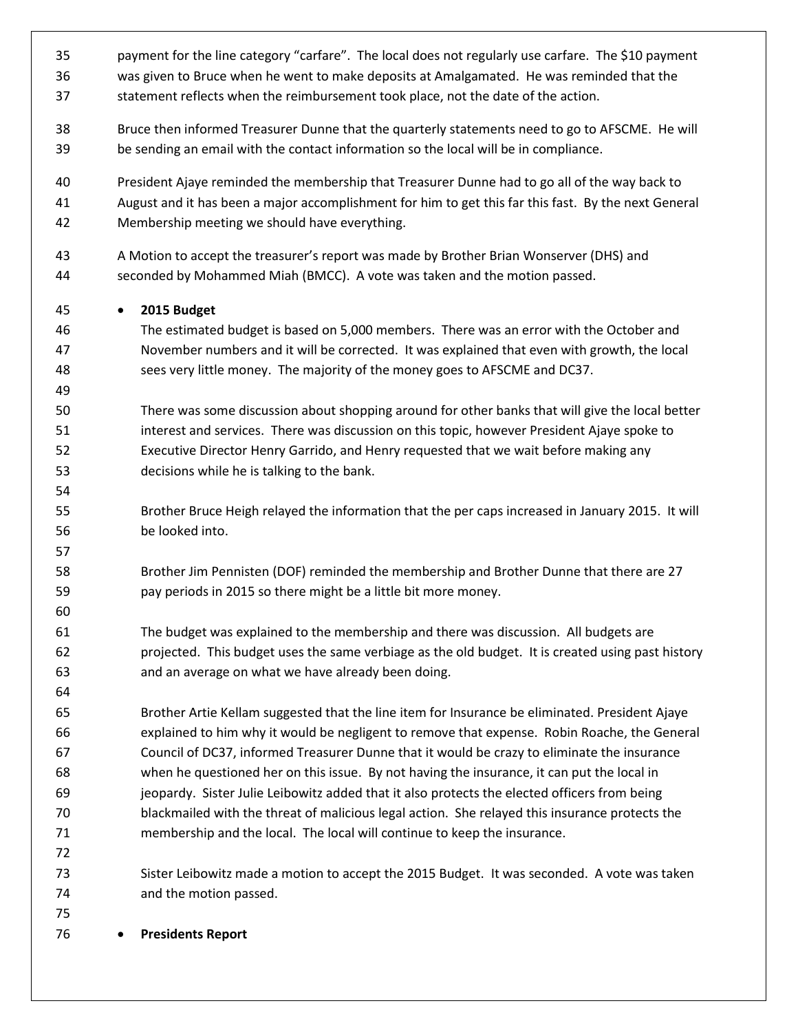payment for the line category "carfare". The local does not regularly use carfare. The \$10 payment was given to Bruce when he went to make deposits at Amalgamated. He was reminded that the statement reflects when the reimbursement took place, not the date of the action. Bruce then informed Treasurer Dunne that the quarterly statements need to go to AFSCME. He will be sending an email with the contact information so the local will be in compliance. President Ajaye reminded the membership that Treasurer Dunne had to go all of the way back to August and it has been a major accomplishment for him to get this far this fast. By the next General Membership meeting we should have everything. A Motion to accept the treasurer's report was made by Brother Brian Wonserver (DHS) and seconded by Mohammed Miah (BMCC). A vote was taken and the motion passed. **2015 Budget** The estimated budget is based on 5,000 members. There was an error with the October and November numbers and it will be corrected. It was explained that even with growth, the local sees very little money. The majority of the money goes to AFSCME and DC37. There was some discussion about shopping around for other banks that will give the local better interest and services. There was discussion on this topic, however President Ajaye spoke to Executive Director Henry Garrido, and Henry requested that we wait before making any decisions while he is talking to the bank. Brother Bruce Heigh relayed the information that the per caps increased in January 2015. It will be looked into. Brother Jim Pennisten (DOF) reminded the membership and Brother Dunne that there are 27 pay periods in 2015 so there might be a little bit more money. The budget was explained to the membership and there was discussion. All budgets are projected. This budget uses the same verbiage as the old budget. It is created using past history and an average on what we have already been doing. Brother Artie Kellam suggested that the line item for Insurance be eliminated. President Ajaye explained to him why it would be negligent to remove that expense. Robin Roache, the General Council of DC37, informed Treasurer Dunne that it would be crazy to eliminate the insurance when he questioned her on this issue. By not having the insurance, it can put the local in jeopardy. Sister Julie Leibowitz added that it also protects the elected officers from being blackmailed with the threat of malicious legal action. She relayed this insurance protects the membership and the local. The local will continue to keep the insurance. Sister Leibowitz made a motion to accept the 2015 Budget. It was seconded. A vote was taken and the motion passed. **Presidents Report**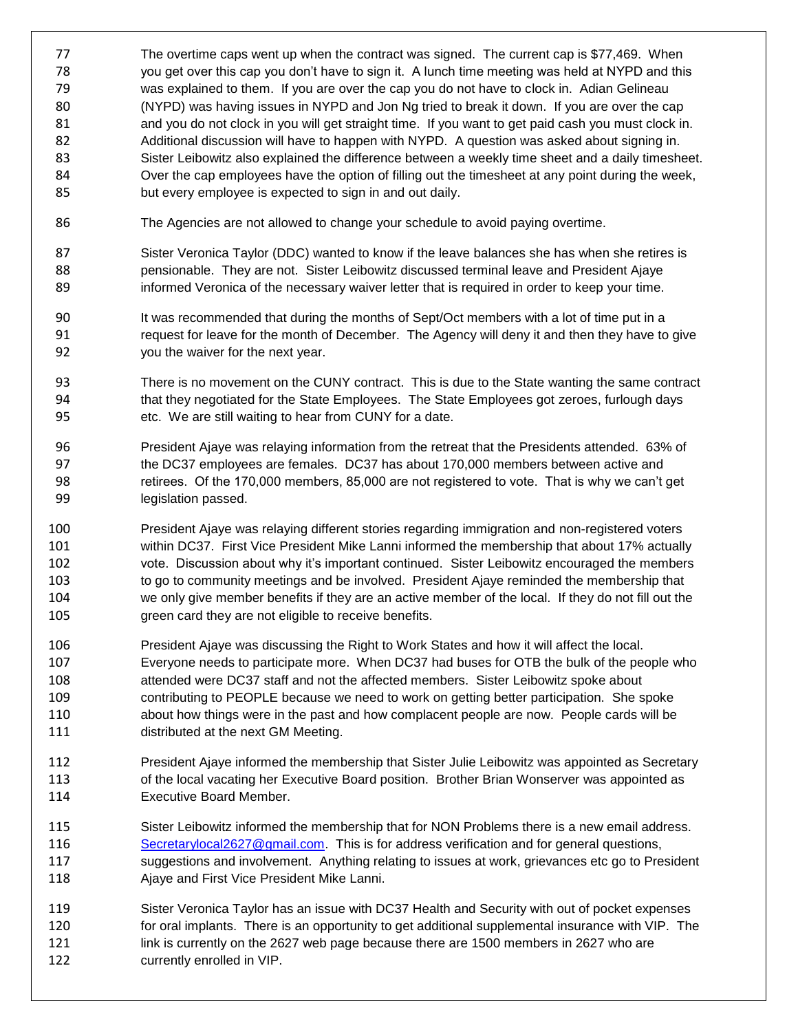- The overtime caps went up when the contract was signed. The current cap is \$77,469. When you get over this cap you don't have to sign it. A lunch time meeting was held at NYPD and this was explained to them. If you are over the cap you do not have to clock in. Adian Gelineau (NYPD) was having issues in NYPD and Jon Ng tried to break it down. If you are over the cap and you do not clock in you will get straight time. If you want to get paid cash you must clock in. Additional discussion will have to happen with NYPD. A question was asked about signing in. Sister Leibowitz also explained the difference between a weekly time sheet and a daily timesheet. Over the cap employees have the option of filling out the timesheet at any point during the week, but every employee is expected to sign in and out daily.
- The Agencies are not allowed to change your schedule to avoid paying overtime.
- 87 Sister Veronica Taylor (DDC) wanted to know if the leave balances she has when she retires is pensionable. They are not. Sister Leibowitz discussed terminal leave and President Ajaye informed Veronica of the necessary waiver letter that is required in order to keep your time.
- It was recommended that during the months of Sept/Oct members with a lot of time put in a request for leave for the month of December. The Agency will deny it and then they have to give you the waiver for the next year.
- There is no movement on the CUNY contract. This is due to the State wanting the same contract that they negotiated for the State Employees. The State Employees got zeroes, furlough days etc. We are still waiting to hear from CUNY for a date.
- President Ajaye was relaying information from the retreat that the Presidents attended. 63% of the DC37 employees are females. DC37 has about 170,000 members between active and retirees. Of the 170,000 members, 85,000 are not registered to vote. That is why we can't get legislation passed.
- President Ajaye was relaying different stories regarding immigration and non-registered voters within DC37. First Vice President Mike Lanni informed the membership that about 17% actually vote. Discussion about why it's important continued. Sister Leibowitz encouraged the members 103 to go to community meetings and be involved. President Ajaye reminded the membership that we only give member benefits if they are an active member of the local. If they do not fill out the green card they are not eligible to receive benefits.
- President Ajaye was discussing the Right to Work States and how it will affect the local. Everyone needs to participate more. When DC37 had buses for OTB the bulk of the people who attended were DC37 staff and not the affected members. Sister Leibowitz spoke about contributing to PEOPLE because we need to work on getting better participation. She spoke about how things were in the past and how complacent people are now. People cards will be distributed at the next GM Meeting.
- President Ajaye informed the membership that Sister Julie Leibowitz was appointed as Secretary 113 of the local vacating her Executive Board position. Brother Brian Wonserver was appointed as Executive Board Member.
- Sister Leibowitz informed the membership that for NON Problems there is a new email address. [Secretarylocal2627@gmail.com.](mailto:Secretarylocal2627@gmail.com) This is for address verification and for general questions, 117 suggestions and involvement. Anything relating to issues at work, grievances etc go to President Ajaye and First Vice President Mike Lanni.
- Sister Veronica Taylor has an issue with DC37 Health and Security with out of pocket expenses 120 for oral implants. There is an opportunity to get additional supplemental insurance with VIP. The link is currently on the 2627 web page because there are 1500 members in 2627 who are currently enrolled in VIP.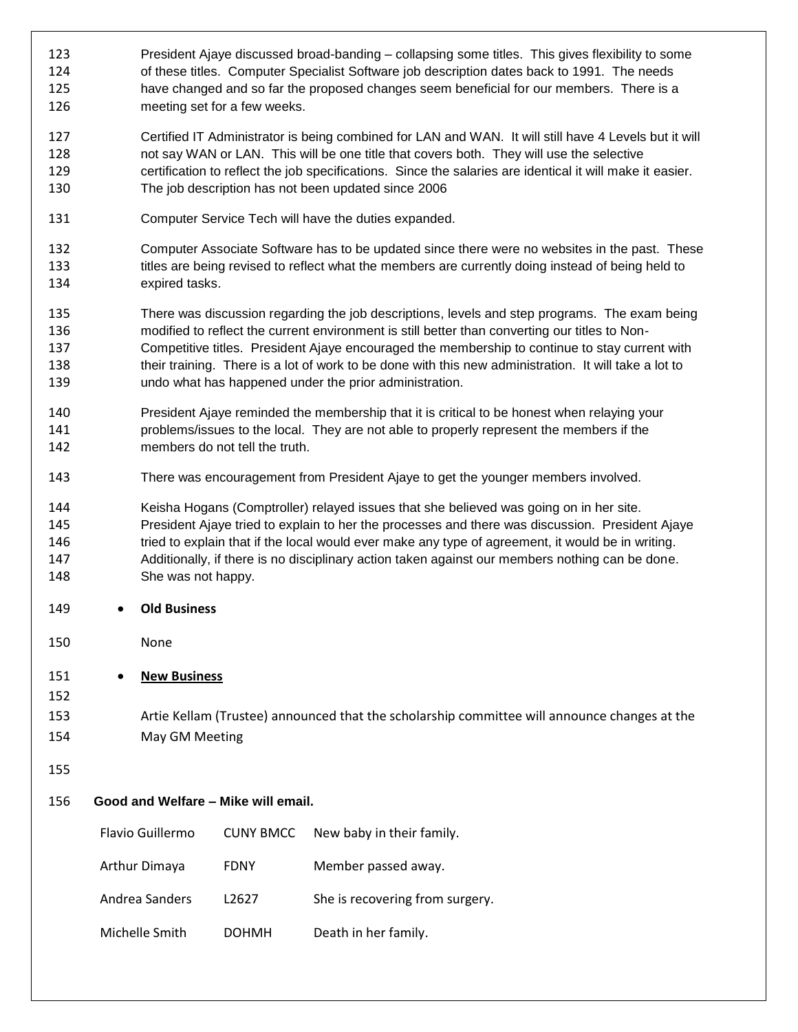| 123<br>124<br>125<br>126        |                                                                                                                                       | President Ajaye discussed broad-banding – collapsing some titles. This gives flexibility to some<br>of these titles. Computer Specialist Software job description dates back to 1991. The needs<br>have changed and so far the proposed changes seem beneficial for our members. There is a<br>meeting set for a few weeks.                                                                                                                                          |                  |                                 |  |  |
|---------------------------------|---------------------------------------------------------------------------------------------------------------------------------------|----------------------------------------------------------------------------------------------------------------------------------------------------------------------------------------------------------------------------------------------------------------------------------------------------------------------------------------------------------------------------------------------------------------------------------------------------------------------|------------------|---------------------------------|--|--|
| 127<br>128<br>129<br>130        |                                                                                                                                       | Certified IT Administrator is being combined for LAN and WAN. It will still have 4 Levels but it will<br>not say WAN or LAN. This will be one title that covers both. They will use the selective<br>certification to reflect the job specifications. Since the salaries are identical it will make it easier.<br>The job description has not been updated since 2006                                                                                                |                  |                                 |  |  |
| 131                             |                                                                                                                                       | Computer Service Tech will have the duties expanded.                                                                                                                                                                                                                                                                                                                                                                                                                 |                  |                                 |  |  |
| 132<br>133<br>134               |                                                                                                                                       | Computer Associate Software has to be updated since there were no websites in the past. These<br>titles are being revised to reflect what the members are currently doing instead of being held to<br>expired tasks.                                                                                                                                                                                                                                                 |                  |                                 |  |  |
| 135<br>136<br>137<br>138<br>139 |                                                                                                                                       | There was discussion regarding the job descriptions, levels and step programs. The exam being<br>modified to reflect the current environment is still better than converting our titles to Non-<br>Competitive titles. President Ajaye encouraged the membership to continue to stay current with<br>their training. There is a lot of work to be done with this new administration. It will take a lot to<br>undo what has happened under the prior administration. |                  |                                 |  |  |
| 140<br>141<br>142               |                                                                                                                                       | President Ajaye reminded the membership that it is critical to be honest when relaying your<br>problems/issues to the local. They are not able to properly represent the members if the<br>members do not tell the truth.                                                                                                                                                                                                                                            |                  |                                 |  |  |
| 143                             |                                                                                                                                       | There was encouragement from President Ajaye to get the younger members involved.                                                                                                                                                                                                                                                                                                                                                                                    |                  |                                 |  |  |
| 144<br>145<br>146<br>147<br>148 |                                                                                                                                       | Keisha Hogans (Comptroller) relayed issues that she believed was going on in her site.<br>President Ajaye tried to explain to her the processes and there was discussion. President Ajaye<br>tried to explain that if the local would ever make any type of agreement, it would be in writing.<br>Additionally, if there is no disciplinary action taken against our members nothing can be done.<br>She was not happy.                                              |                  |                                 |  |  |
| 149                             | ٠                                                                                                                                     | <b>Old Business</b>                                                                                                                                                                                                                                                                                                                                                                                                                                                  |                  |                                 |  |  |
| 150                             |                                                                                                                                       | None                                                                                                                                                                                                                                                                                                                                                                                                                                                                 |                  |                                 |  |  |
| 151<br>152<br>153<br>154<br>155 | <b>New Business</b><br>Artie Kellam (Trustee) announced that the scholarship committee will announce changes at the<br>May GM Meeting |                                                                                                                                                                                                                                                                                                                                                                                                                                                                      |                  |                                 |  |  |
| 156                             | Good and Welfare - Mike will email.                                                                                                   |                                                                                                                                                                                                                                                                                                                                                                                                                                                                      |                  |                                 |  |  |
|                                 |                                                                                                                                       | Flavio Guillermo                                                                                                                                                                                                                                                                                                                                                                                                                                                     | <b>CUNY BMCC</b> | New baby in their family.       |  |  |
|                                 |                                                                                                                                       | Arthur Dimaya                                                                                                                                                                                                                                                                                                                                                                                                                                                        | <b>FDNY</b>      | Member passed away.             |  |  |
|                                 |                                                                                                                                       | Andrea Sanders                                                                                                                                                                                                                                                                                                                                                                                                                                                       | L2627            | She is recovering from surgery. |  |  |
|                                 |                                                                                                                                       | Michelle Smith                                                                                                                                                                                                                                                                                                                                                                                                                                                       | <b>DOHMH</b>     | Death in her family.            |  |  |